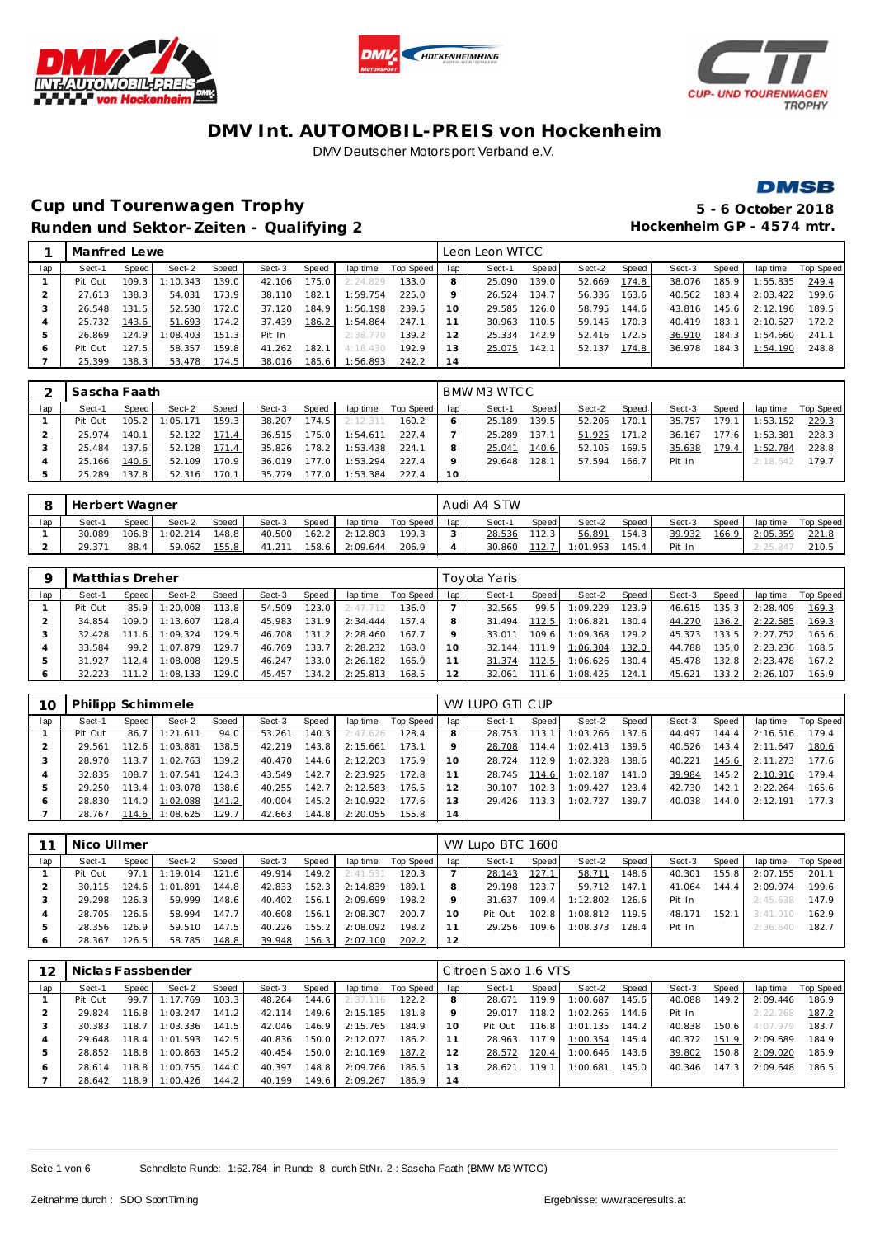







## **Cup und Tourenwagen Trophy 5 - 6 October 2018** Runden und Sektor-Zeiten - Qualifying 2 **and Elizabeth Hockenheim GP** - 4574 mtr.

|     | Manfred Lewe |       |              |       |        |       |          |           |     | Leon Leon WTCC |       |        |       |        |       |          |           |
|-----|--------------|-------|--------------|-------|--------|-------|----------|-----------|-----|----------------|-------|--------|-------|--------|-------|----------|-----------|
| lap | Sect-1       | Speed | Sect-2       | Speed | Sect-3 | Speed | lap time | Top Speed | lap | Sect-1         | Speed | Sect-2 | Speed | Sect-3 | Speed | lap time | Top Speed |
|     | Pit Out      | 109.3 | $\pm 10.343$ | 139.0 | 42.106 | 175.0 | 2:24.829 | 133.0     |     | 25.090         | 139.0 | 52.669 | 174.8 | 38.076 | 185.9 | : 55.835 | 249.4     |
|     | 27.613       | 138.3 | 54.031       | 173.9 | 38.110 | 182.1 | 1:59.754 | 225.0     |     | 26.524         | 134.7 | 56.336 | 163.6 | 40.562 | 183.4 | 2:03.422 | 199.6     |
|     | 26.548       | 131.5 | 52.530       | 172.0 | 37.120 | 184.9 | 1:56.198 | 239.5     | 10  | 29.585         | 126.0 | 58.795 | 144.6 | 43.816 | 145.6 | 2:12.196 | 189.5     |
|     | 25.732       | 143.6 | 51.693       | 174.2 | 37.439 | 186.2 | 1:54.864 | 247.1     |     | 30.963         | 110.5 | 59.145 | 170.3 | 40.419 | 183.1 | 2:10.527 | 172.2     |
|     | 26.869       | 124.9 | :08.403      | 151.3 | Pit In |       | 2:38.770 | 139.2     | 12  | 25.334         | 142.9 | 52.416 | 172.5 | 36.910 | 184.3 | 1:54.660 | 241.1     |
| Ô   | Pit Out      | 127.5 | 58.357       | 159.8 | 41.262 | 182.1 | 4:18.430 | 192.9     | 13  | 25.075         | 142.1 | 52.137 | 174.8 | 36.978 | 184.3 | 1:54.190 | 248.8     |
|     | 25.399       | 138.3 | 53.478       | 174.5 | 38.016 | 185.6 | :56.893  | 242.2     | 14  |                |       |        |       |        |       |          |           |

|     | Sascha Faath |       |          |                    |        |                    |          |           |                 | BMW M3 WTCC |       |        |       |        |       |          |           |
|-----|--------------|-------|----------|--------------------|--------|--------------------|----------|-----------|-----------------|-------------|-------|--------|-------|--------|-------|----------|-----------|
| lap | Sect-1       | Speed | Sect-2   | Speed              | Sect-3 | Speed              | lap time | Top Speed | lap             | Sect-1      | Speed | Sect-2 | Speed | Sect-3 | Speed | lap time | Top Speed |
|     | Pit Out      | 105.2 | 1:05.171 | 159.3 <sub>1</sub> | 38.207 | 174.5 <sup>1</sup> | 2:12.311 | 160.2     |                 | 25.189      | 139.5 | 52.206 | 170.1 | 35.757 | 179.1 | 1:53.152 | 229.3     |
|     | 25.974       | 140.1 | 52.122   | 171.4              | 36.515 | 175.0              | 1:54.611 | 227.4     |                 | 25.289      | 137.1 | 51.925 | 171.2 | 36.167 | 177.6 | 1:53.381 | 228.3     |
|     | 25.484       | 137.6 | 52.128   | 171.4              | 35.826 | 178.2              | 1:53.438 | 224.1     |                 | 25.041      | 140.6 | 52.105 | 169.5 | 35.638 | 179.4 | 1:52.784 | 228.8     |
|     | 25.166       | 140.6 | 52.109   | 170.9              | 36.019 | 177.0              | 1:53.294 | 227.4     |                 | 29.648      | 128.1 | 57.594 | 166.7 | Pit In |       | 2:18.642 | 179.7     |
|     | 25.289       | 137.8 | 52.316   | 170.1              | 35.779 | 177.O              | 1:53.384 | 227.4     | 10 <sup>°</sup> |             |       |        |       |        |       |          |           |

|     | Herbert Wagner |       |                  |              |        |       |          |           |     | Audi A4 STW |                    |                  |         |        |       |          |           |
|-----|----------------|-------|------------------|--------------|--------|-------|----------|-----------|-----|-------------|--------------------|------------------|---------|--------|-------|----------|-----------|
| lap | Sect-1         | Speed | Sect-2           | <b>Speed</b> | Sect-3 | Speed | lap time | Top Speed | lap | Sect-1      | Speed              | Sect-2           | Speed   | Sect-3 | Speed | lap time | Top Speed |
|     | 30.089         |       | $106.8$ 1:02.214 | 148.8        | 40.500 | 162.2 | 2:12.803 | 199.3     |     | 28.536      | 112.3 <sub>1</sub> | 56.891           | 154.3   | 39.932 | 166.9 | 2:05.359 | 221.8     |
|     | 29.371         | 88.4  | 59.062           | 155.8        | 41.211 | 158.6 | 2:09.644 | 206.9     |     | 30.860      |                    | $112.7$ 1:01.953 | $145.4$ | Pit In |       | 2:25.84  | 210.5     |

|     | Matthias Dreher |          |          |       |        |       |          |           |     | Toyota Yaris |       |          |       |        |       |          |           |
|-----|-----------------|----------|----------|-------|--------|-------|----------|-----------|-----|--------------|-------|----------|-------|--------|-------|----------|-----------|
| lap | Sect-1          | Speed    | Sect-2   | Speed | Sect-3 | Speed | lap time | Top Speed | lap | Sect-1       | Speed | Sect-2   | Speed | Sect-3 | Speed | lap time | Top Speed |
|     | Pit Out         | 85.9     | 1:20.008 | 113.8 | 54.509 | 123.0 | 2:47.712 | 136.0     |     | 32.565       | 99.5  | 1:09.229 | 23.9  | 46.615 | 135.3 | 2:28.409 | 169.3     |
|     | 34.854          | 109.01   | 1:13.607 | 128.4 | 45.983 | 131.9 | 2:34.444 | 157.4     |     | 31.494       | 112.5 | 1:06.821 | 30.4  | 44.270 | 136.2 | 2:22.585 | 169.3     |
|     | 32.428          | 111<br>6 | 1:09.324 | 129.5 | 46.708 | 131.2 | 2:28.460 | 167.7     |     | 33.011       | 109.6 | 1:09.368 | 129.2 | 45.373 | 133.5 | 2:27.752 | 165.6     |
|     | 33.584          | 99.2     | 1:07.879 | 129.7 | 46.769 | 133.7 | 2:28.232 | 168.0     |     | 32.144       | 111.9 | 1:06.304 | 132.0 | 44.788 | 135.0 | 2:23.236 | 168.5     |
|     | 31.927          | 112.4    | 1:08.008 | 129.5 | 46.247 | 133.0 | 2:26.182 | 166.9     |     | 31.374       | 112.5 | 1:06.626 | 130.4 | 45.478 | 132.8 | 2:23.478 | 167.2     |
|     | 32.223          | 111.2    | 1:08.133 | 129.0 | 45.457 | 134.2 | 2:25.813 | 168.5     | 12  | 32.061       | 111.6 | 1:08.425 | 124.1 | 45.621 | 133.2 | 2:26.107 | 165.9     |

| 10  | Philipp Schimmele |         |          |       |        |       |          |           |          | VW LUPO GTI CUP |       |          |       |        |         |          |           |
|-----|-------------------|---------|----------|-------|--------|-------|----------|-----------|----------|-----------------|-------|----------|-------|--------|---------|----------|-----------|
| lap | Sect-1            | Speed   | Sect-2   | Speed | Sect-3 | Speed | lap time | Top Speed | lap      | Sect-1          | Speed | Sect-2   | Speed | Sect-3 | Speed   | lap time | Top Speed |
|     | Pit Out           | 86.7    | 1:21.611 | 94.0  | 53.261 | 140.3 | 2:47.626 | 128.4     | 8        | 28.753          | 113.1 | 1:03.266 | 137.6 | 44.497 | 144.4   | 2:16.516 | 179.4     |
|     | 29.561            | 112.6   | 1:03.881 | 138.5 | 42.219 | 143.8 | 2:15.661 | 173.1     |          | 28.708          | 114.4 | 1:02.413 | 139.5 | 40.526 | $143.4$ | 2:11.647 | 180.6     |
|     | 28.970            | 113.7   | 1:02.763 | 139.2 | 40.470 | 144.6 | 2:12.203 | 175.9     | $10^{-}$ | 28.724          | 112.9 | 1:02.328 | 138.6 | 40.221 | 145.6   | 2:11.273 | 177.6     |
| 4   | 32.835            | 108.7   | 1:07.541 | 124.3 | 43.549 | 142.7 | 2:23.925 | 172.8     |          | 28.745          | 114.6 | 1:02.187 | 141.0 | 39.984 | 145.2   | 2:10.916 | 179.4     |
|     | 29.250            | 113.4   | 1:03.078 | 138.6 | 40.255 | 142.7 | 2:12.583 | 176.5     |          | 30.107          | 102.3 | 1:09.427 | 123.4 | 42.730 | 142.1   | 2:22.264 | 165.6     |
| 6   | 28.830            | 114.0   | 1:02.088 | 141.2 | 40.004 | 145.2 | 2:10.922 | 177.6     |          | 29.426          | 113.3 | 1:02.727 | 139.7 | 40.038 | 144.0   | 2:12.191 | 177.3     |
|     | 28.767            | 114.6 I | 1:08.625 | 129.7 | 42.663 | 144.8 | 2:20.055 | 155.8     | 14       |                 |       |          |       |        |         |          |           |

|     | Nico Ullmer |        |          |       |        |       |          |           |     | VW Lupo BTC 1600 |       |          |       |        |       |          |           |
|-----|-------------|--------|----------|-------|--------|-------|----------|-----------|-----|------------------|-------|----------|-------|--------|-------|----------|-----------|
| lap | Sect-1      | Speed  | Sect-2   | Speed | Sect-3 | Speed | lap time | Top Speed | lap | Sect-1           | Speed | Sect-2   | Speed | Sect-3 | Speed | lap time | Top Speed |
|     | Pit Out     | 97.1   | 1:19.014 | 121.6 | 49.914 | 149.2 | 2:41.531 | 120.3     |     | 28.143           | 127.1 | 58.711   | 148.6 | 40.301 | 155.8 | 2:07.155 | 201.1     |
|     | 30.115      | 124.61 | : 01.891 | 144.8 | 42.833 | 152.3 | 2:14.839 | 189.1     |     | 29.198           | 123.7 | 59.712   | 147.1 | 41.064 | 144.4 | 2:09.974 | 199.6     |
|     | 29.298      | 126.3  | 59.999   | 148.6 | 40.402 | 156.1 | 2:09.699 | 198.2     |     | 31.637           | 109.4 | 1:12.802 | 126.6 | Pit In |       | 2:45.638 | 147.9     |
|     | 28.705      | 126.6  | 58.994   | 147.7 | 40.608 | 156.1 | 2:08.307 | 200.7     | 10  | Pit Out          | 102.8 | 1:08.812 | 119.5 | 48.171 | 152.  | 3:41.010 | 162.9     |
|     | 28.356      | 126.9  | 59.510   | 147.5 | 40.226 | 155.2 | 2:08.092 | 198.2     |     | 29.256           | 109.6 | 1:08.373 | 128.4 | Pit In |       | 2:36.640 | 182.7     |
| O   | 28.367      | 126.5  | 58.785   | 148.8 | 39.948 | 156.3 | 2:07.100 | 202.2     | 12  |                  |       |          |       |        |       |          |           |

| 12  | Niclas Fassbender<br>Speed<br>Sect-3<br>lap time<br>Sect-2<br>Speed I<br>Speed  <br>Sect-1<br>103.3<br>1:17.769<br>99.7<br>Pit Out<br>48.264<br>144.6<br>2:37.116<br>141.2<br>29.824<br>1:03.247<br>149.6<br>116.8<br>2:15.185<br>42.114<br>1:03.336<br>118.7<br>141.5<br>30.383<br>146.9<br>42.046<br>2:15.765 |       |          |        |        |       |          |           |     | Citroen Saxo 1.6 VTS |       |          |       |        |       |          |           |
|-----|-----------------------------------------------------------------------------------------------------------------------------------------------------------------------------------------------------------------------------------------------------------------------------------------------------------------|-------|----------|--------|--------|-------|----------|-----------|-----|----------------------|-------|----------|-------|--------|-------|----------|-----------|
| lap |                                                                                                                                                                                                                                                                                                                 |       |          |        |        |       |          | Top Speed | lap | Sect-1               | Speed | Sect-2   | Speed | Sect-3 | Speed | lap time | Top Speed |
|     |                                                                                                                                                                                                                                                                                                                 |       |          |        |        |       |          | 122.2     | 8   | 28.671               | 119.9 | 1:00.687 | 145.6 | 40.088 | 149.2 | 2:09.446 | 186.9     |
|     |                                                                                                                                                                                                                                                                                                                 |       |          |        |        |       |          | 181.8     |     | 29.017               | 118.2 | 1:02.265 | 144.6 | Pit In |       | 2:22.268 | 187.2     |
|     |                                                                                                                                                                                                                                                                                                                 |       |          |        |        |       |          | 184.9     | 10  | Pit Out              | 116.8 | 1:01.135 | 144.2 | 40.838 | 150.6 | 4:07.979 | 183.7     |
| 4   | 29.648                                                                                                                                                                                                                                                                                                          | 118.4 | 1:01.593 | 142.5  | 40.836 | 150.0 | 2:12.077 | 186.2     |     | 28.963               | 117.9 | 1:00.354 | 145.4 | 40.372 | 151.9 | 2:09.689 | 184.9     |
| 5   | 28.852                                                                                                                                                                                                                                                                                                          | 118.8 | 1:00.863 | 145.2  | 40.454 | 150.0 | 2:10.169 | 187.2     |     | 28.572               | 120.4 | 1:00.646 | 143.6 | 39.802 | 150.8 | 2:09.020 | 185.9     |
| 6   | 28.614                                                                                                                                                                                                                                                                                                          | 118.8 | 1:00.755 | 144.01 | 40.397 | 148.8 | 2:09.766 | 186.5     |     | 28.621               | 119.1 | 1:00.681 | 145.0 | 40.346 | 147.3 | 2:09.648 | 186.5     |
|     | 28.642                                                                                                                                                                                                                                                                                                          | 118.9 | 1:00.426 | 144.2  | 40.199 | 149.6 | 2:09.267 | 186.9     | 14  |                      |       |          |       |        |       |          |           |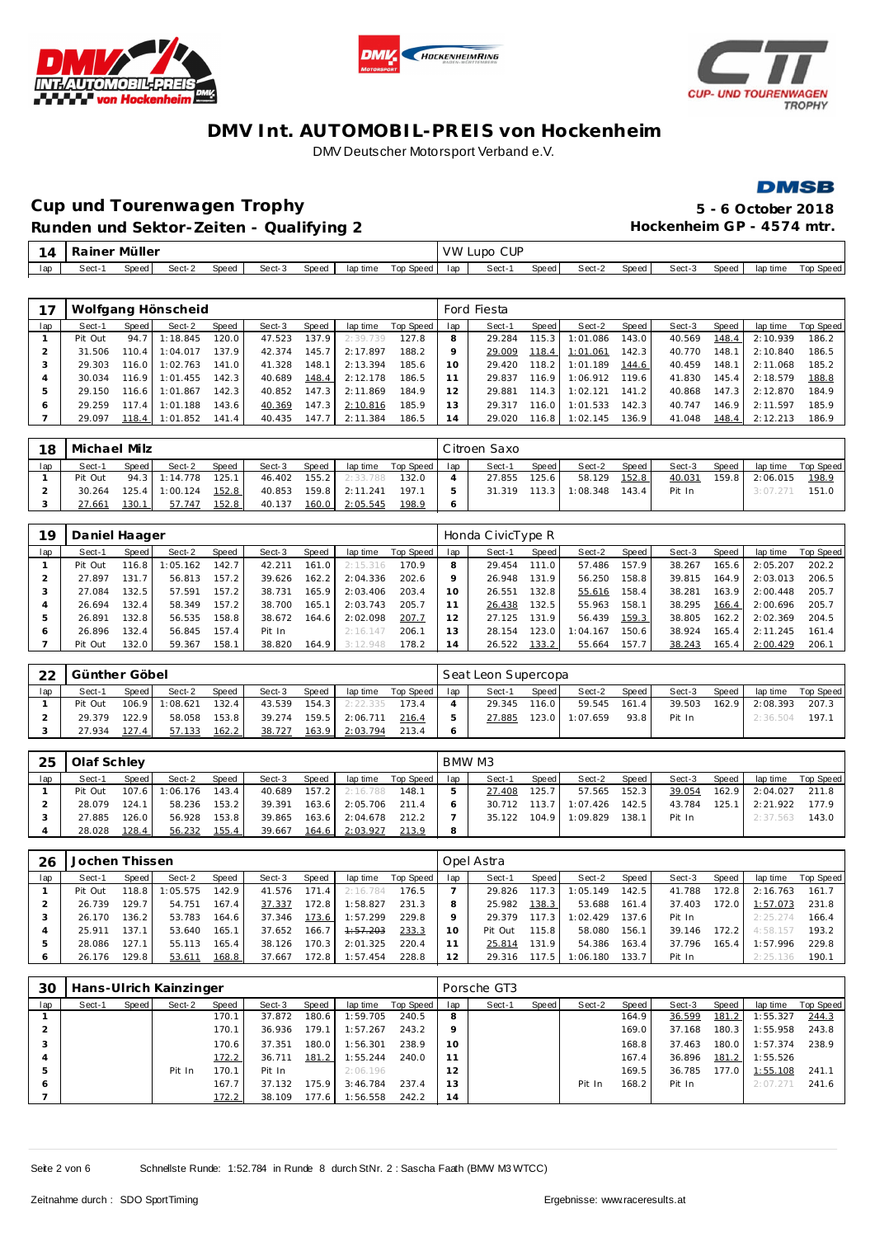





**DMSB** 

## **Cup und Tourenwagen Trophy 5 - 6 October 2018 Runden und Sektor-Zeiten - Qualifying 2 Hockenheim GP - 4574 mtr.**

| 14  | ainer<br>ка                                                                   | Müller |  |  |  |  |  |  | <b>VW</b> | <b>CUP</b><br>LUDO |       |        |       |        |       |          |           |
|-----|-------------------------------------------------------------------------------|--------|--|--|--|--|--|--|-----------|--------------------|-------|--------|-------|--------|-------|----------|-----------|
| lap | Top Speed<br>Speed<br>Sect-3<br>Sect-2<br>Speed<br>Speed<br>Sect-<br>lap time |        |  |  |  |  |  |  | lap       | Sect-1             | Speed | Sect-2 | Speed | Sect-3 | Speed | lap time | Top Speed |

|     |         |       | Wolfgang Hönscheid |       |        |       |          |           |         | Ford Fiesta |       |          |       |        |       |          |           |
|-----|---------|-------|--------------------|-------|--------|-------|----------|-----------|---------|-------------|-------|----------|-------|--------|-------|----------|-----------|
| lap | Sect-1  | Speed | Sect-2             | Speed | Sect-3 | Speed | lap time | Top Speed | lap     | Sect-1      | Speed | Sect-2   | Speed | Sect-3 | Speed | lap time | Top Speed |
|     | Pit Out | 94.7  | 1:18.845           | 120.0 | 47.523 | 137.9 | 2:39.739 | 127.8     | 8       | 29.284      | 115.3 | 1:01.086 | 143.0 | 40.569 | 148.4 | 2:10.939 | 186.2     |
|     | 31.506  | 110.4 | 1:04.017           | 137.9 | 42.374 | 145.7 | 2:17.897 | 188.2     | $\circ$ | 29.009      | 118.4 | 1:01.061 | 142.3 | 40.770 | 148.1 | 2:10.840 | 186.5     |
|     | 29.303  | 116.0 | 1:02.763           | 141.0 | 41.328 | 148.1 | 2:13.394 | 185.6     | 10      | 29.420      | 118.2 | 1:01.189 | 144.6 | 40.459 | 148.1 | 2:11.068 | 185.2     |
|     | 30.034  | 116.9 | 1:01.455           | 142.3 | 40.689 | 148.4 | 2:12.178 | 186.5     |         | 29.837      | 116.9 | 1:06.912 | 119.6 | 41.830 | 145.4 | 2:18.579 | 188.8     |
|     | 29.150  | 116.6 | 1:01.867           | 142.3 | 40.852 | 147.3 | 2:11.869 | 184.9     | 12      | 29.881      | 114.3 | 1:02.121 | 141.2 | 40.868 | 147.3 | 2:12.870 | 184.9     |
| O   | 29.259  | 117.4 | 1:01.188           | 143.6 | 40.369 | 147.3 | 2:10.816 | 185.9     | 13      | 29.317      | 116.0 | 1:01.533 | 142.3 | 40.747 | 146.9 | 2:11.597 | 185.9     |
|     | 29.097  | 118.4 | 1:01.852           | 141.4 | 40.435 | 147.7 | 2:11.384 | 186.5     | 14      | 29.020      | 116.8 | 1:02.145 | 136.9 | 41.048 | 148.4 | 2:12.213 | 186.9     |

| 18  | Michael Milz |       |               |       |        |       |          |           |     | Citroen Saxo |       |          |       |        |       |          |           |
|-----|--------------|-------|---------------|-------|--------|-------|----------|-----------|-----|--------------|-------|----------|-------|--------|-------|----------|-----------|
| lap | Sect-1       | Speed | Sect-2        | Speed | Sect-3 | Speed | lap time | Top Speed | lap | Sect-1       | Speed | Sect-2   | Speed | Sect-3 | Speed | lap time | Top Speed |
|     | Pit Out      |       | 94.3 1:14.778 | 125.1 | 46.402 | 155.2 | 2:33.788 | 132.0     |     | 27.855       | 125.6 | 58.129   | 152.8 | 40.031 | 159.8 | 2:06.015 | 198.9     |
|     | 30.264       | 125.4 | 1:00.124      | 152.8 | 40.853 | 159.8 | 2:11.241 | 197.1     |     | 31.319       | 113.3 | 1:08.348 | 143.4 | Pit In |       | 3:07.27  | 151.0     |
|     | 27.661       | 130.1 | 57.747        | 152.8 | 40.137 | 160.0 | 2:05.545 | 198.9     |     |              |       |          |       |        |       |          |           |

| 19  | Daniel Haager |       |         |       |        |        |          |           |     | Honda CivicType R |       |          |       |        |       |          |           |
|-----|---------------|-------|---------|-------|--------|--------|----------|-----------|-----|-------------------|-------|----------|-------|--------|-------|----------|-----------|
| lap | Sect-1        | Speed | Sect-2  | Speed | Sect-3 | Speed  | lap time | Top Speed | lap | Sect-1            | Speed | Sect-2   | Speed | Sect-3 | Speed | lap time | Top Speed |
|     | Pit Out       | 116.8 | :05.162 | 142.7 | 42.211 | 161.01 | 2:15.316 | 170.9     | 8   | 29.454            | 111.0 | 57.486   | 157.9 | 38.267 | 165.6 | 2:05.207 | 202.2     |
|     | 27.897        | 131.7 | 56.813  | 157.2 | 39.626 | 162.2  | 2:04.336 | 202.6     |     | 26.948            | 131.9 | 56.250   | 158.8 | 39.815 | 164.9 | 2:03.013 | 206.5     |
|     | 27.084        | 132.5 | 57.591  | 157.2 | 38.731 | 165.9  | 2:03.406 | 203.4     | 10  | 26.551            | 132.8 | 55.616   | 158.4 | 38.281 | 163.9 | 2:00.448 | 205.7     |
|     | 26.694        | 132.4 | 58.349  | 157.2 | 38.700 | 165.1  | 2:03.743 | 205.7     |     | 26.438            | 132.5 | 55.963   | 158.1 | 38.295 | 166.4 | 2:00.696 | 205.7     |
|     | 26.891        | 132.8 | 56.535  | 158.8 | 38.672 | 164.6  | 2:02.098 | 207.7     |     | 27.125            | 131.9 | 56.439   | 159.3 | 38.805 | 162.2 | 2:02.369 | 204.5     |
| O   | 26.896        | 132.4 | 56.845  | 157.4 | Pit In |        | 2:16.147 | 206.1     | 13  | 28.154            | 123.0 | 1:04.167 | 150.6 | 38.924 | 165.4 | 2:11.245 | 161.4     |
|     | Pit Out       | 132.0 | 59.367  | 158.1 | 38.820 | 164.91 | 3:12.948 | 178.2     | 14  | 26.522            | 133.2 | 55.664   | 157.7 | 38.243 | 165.4 | 2:00.429 | 206.1     |

| າາ  | Günther Göbel |       |          |       |        |       |          |           |     | Seat Leon Supercopa |       |          |       |        |       |          |           |
|-----|---------------|-------|----------|-------|--------|-------|----------|-----------|-----|---------------------|-------|----------|-------|--------|-------|----------|-----------|
| lap | Sect-1        | Speed | Sect-2   | Speed | Sect-3 | Speed | lap time | Top Speed | lap | Sect-1              | Speed | Sect-2   | Speed | Sect-3 | Speed | lap time | Top Speed |
|     | Pit Out       | 106.9 | 1:08.621 | 132.4 | 43.539 | 154.3 | 2:22.335 | 173.4     |     | 29.345              | 116.0 | 59.545   | 161.4 | 39.503 | 162.9 | 2:08.393 | 207.3     |
|     | 29.379        | 122.9 | 58.058   | 153.8 | 39.274 | 159.5 | 2:06.711 | 216.4     |     | 27.885              | 123.0 | 1:07.659 | 93.8  | Pit In |       | 2:36.504 | 197.      |
|     | 27.934        | 127.4 | 57.133   | 162.2 | 38.727 | 163.9 | 2:03.794 | 213.4     |     |                     |       |          |       |        |       |          |           |

| 25  | Olaf Schley |           |          |       |        |       |          |           |     | BMW M3 |       |          |       |        |       |          |           |
|-----|-------------|-----------|----------|-------|--------|-------|----------|-----------|-----|--------|-------|----------|-------|--------|-------|----------|-----------|
| lap | Sect-1      | Speed     | Sect-2   | Speed | Sect-3 | Speed | lap time | Top Speed | lap | Sect-1 | Speed | Sect-2   | Speed | Sect-3 | Speed | lap time | Top Speed |
|     | Pit Out     | $107.6$ J | 1:06.176 | 143.4 | 40.689 | 157.2 | 2:16.788 | 148.1     |     | 27.408 | 125.7 | 57.565   | 152.3 | 39.054 | 162.9 | 2:04.027 | 211.8     |
|     | 28.079      | 124.1     | 58.236   | 153.2 | 39.391 | 163.6 | 2:05.706 | 211.4     |     | 30.712 | 113.7 | 1:07.426 | 142.5 | 43.784 | 125.1 | 2:21.922 | 177.9     |
|     | 27.885      | 126.0     | 56.928   | 153.8 | 39.865 | 163.6 | 2:04.678 | 212.2     |     | 35.122 | 104.9 | 1:09.829 | 138.1 | Pit In |       | 2:37.563 | 143.0     |
|     | 28.028      | 128.4     | 56.232   | 155.4 | 39.667 | 164.6 | 2:03.927 | 213.9     |     |        |       |          |       |        |       |          |           |

| 26  | Jochen Thissen |       |          |       |        |                       |          |           |     | Opel Astra |         |          |       |        |       |          |           |
|-----|----------------|-------|----------|-------|--------|-----------------------|----------|-----------|-----|------------|---------|----------|-------|--------|-------|----------|-----------|
| lap | Sect-1         | Speed | Sect-2   | Speed | Sect-3 | Speed                 | lap time | Top Speed | lap | Sect-1     | Speed ! | Sect-2   | Speed | Sect-3 | Speed | lap time | Top Speed |
|     | Pit Out        | 118.8 | : 05.575 | 142.9 | 41.576 | 171<br>$\overline{A}$ | 2:16.784 | 176.5     |     | 29.826     | 117.3   | 1:05.149 | 142.5 | 41.788 | 172.8 | 2:16.763 | 161.7     |
|     | 26.739         | 129.7 | 54.751   | 167.4 | 37.337 | 172.8                 | 1:58.827 | 231.3     |     | 25.982     | 138.3   | 53.688   | 161.4 | 37.403 | 172.0 | 1:57.073 | 231.8     |
|     | 26.170         | 136.2 | 53.783   | 164.6 | 37.346 | 173.6                 | 1:57.299 | 229.8     |     | 29.379     | 117.31  | 1:02.429 | 137.6 | Pit In |       | 2:25.274 | 166.4     |
| 4   | 25.911         | 137.1 | 53.640   | 165.1 | 37.652 | 166.7                 | 1:57.203 | 233.3     | 10  | Pit Out    | 115.8   | 58.080   | 156.1 | 39.146 | 172.2 | 4:58.157 | 193.2     |
|     | 28.086         | 127.1 | 55.113   | 165.4 | 38.126 | 170.3                 | 2:01.325 | 220.4     |     | 25.814     | 131.9   | 54.386   | 163.4 | 37.796 | 165.4 | 1:57.996 | 229.8     |
| 6   | 26.176         | 129.8 | 53.611   | 168.8 | 37.667 | 172.8                 | 1:57.454 | 228.8     | 12  | 29.316     | 117.5   | 1:06.180 | 133.7 | Pit In |       | 2:25.136 | 190.7     |

| 30  |        |       | Hans-Ulrich Kainzinger |       |        |       |          |           |         | Porsche GT3 |       |        |       |        |       |          |           |
|-----|--------|-------|------------------------|-------|--------|-------|----------|-----------|---------|-------------|-------|--------|-------|--------|-------|----------|-----------|
| lap | Sect-1 | Speed | Sect-2                 | Speed | Sect-3 | Speed | lap time | Top Speed | lap     | Sect-1      | Speed | Sect-2 | Speed | Sect-3 | Speed | lap time | Top Speed |
|     |        |       |                        | 170.1 | 37.872 | 180.6 | 1:59.705 | 240.5     | 8       |             |       |        | 164.9 | 36.599 | 181.2 | 1:55.327 | 244.3     |
|     |        |       |                        | 170.1 | 36.936 | 179.1 | 1:57.267 | 243.2     | $\circ$ |             |       |        | 169.0 | 37.168 | 180.3 | 1:55.958 | 243.8     |
|     |        |       |                        | 170.6 | 37.351 | 180.0 | 1:56.301 | 238.9     | 10      |             |       |        | 168.8 | 37.463 | 180.0 | 1:57.374 | 238.9     |
| 4   |        |       |                        | 172.2 | 36.711 | 181.2 | 1:55.244 | 240.0     |         |             |       |        | 167.4 | 36.896 | 181.2 | 1:55.526 |           |
| 5   |        |       | Pit In                 | 170.1 | Pit In |       | 2:06.196 |           | 12      |             |       |        | 169.5 | 36.785 | 177.0 | 1:55.108 | 241.1     |
|     |        |       |                        | 167.7 | 37.132 | 175.9 | 3:46.784 | 237.4     | 13      |             |       | Pit In | 168.2 | Pit In |       | 2:07.271 | 241.6     |
|     |        |       |                        | 172.2 | 38.109 | 177.6 | 1:56.558 | 242.2     | 14      |             |       |        |       |        |       |          |           |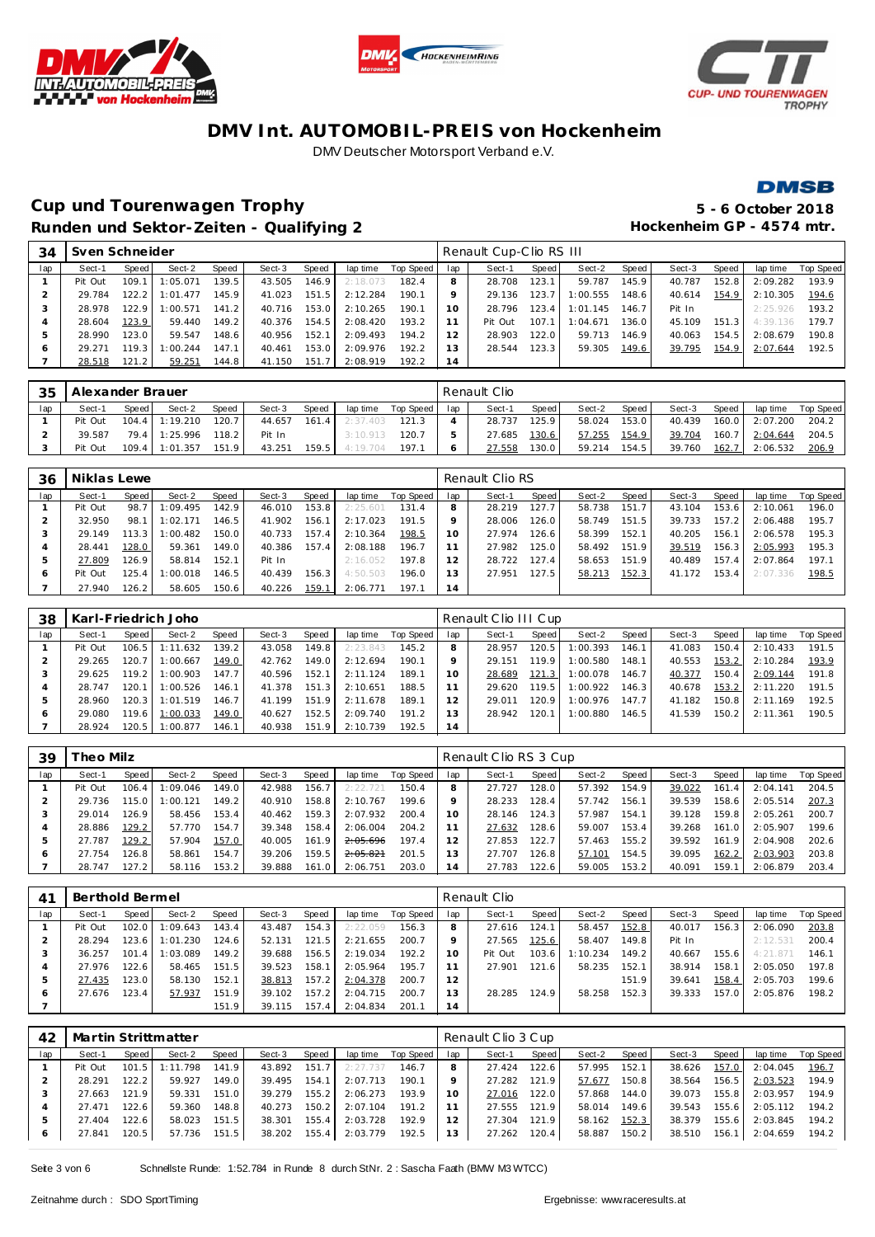







**Cup und Tourenwagen Trophy 5 - 6 October 2018** Runden und Sektor-Zeiten - Qualifying 2 **and Elizabeth Hockenheim GP** - 4574 mtr.

| 34  | Sven Schneider |       |          |         |        |       |          |           |                | Renault Cup-Clio RS III |       |          |       |        |       |          |           |
|-----|----------------|-------|----------|---------|--------|-------|----------|-----------|----------------|-------------------------|-------|----------|-------|--------|-------|----------|-----------|
| lap | Sect-1         | Speed | Sect-2   | Speed   | Sect-3 | Speed | lap time | Top Speed | lap            | Sect-1                  | Speed | Sect-2   | Speed | Sect-3 | Speed | lap time | Top Speed |
|     | Pit Out        | 109.1 | 1:05.071 | 39.5    | 43.505 | 146.9 | 2:18.073 | 182.4     |                | 28.708                  | 123.1 | 59.787   | 145.9 | 40.787 | 152.8 | 2:09.282 | 193.9     |
|     | 29.784         | 122.2 | 1:01.477 | 145.9   | 41.023 | 151.5 | 2:12.284 | 190.1     |                | 29.136                  | 123.7 | 1:00.555 | 148.6 | 40.614 | 154.9 | 2:10.305 | 194.6     |
|     | 28.978         | 122.9 | 1:00.571 | 141.2   | 40.716 | 153.0 | 2:10.265 | 190.1     | $10^{-}$       | 28.796                  | 123.4 | 1:01.145 | 146.7 | Pit In |       | 2:25.926 | 193.2     |
| 4   | 28.604         | 123.9 | 59.440   | 149.2   | 40.376 | 154.5 | 2:08.420 | 193.2     |                | Pit Out                 | 107.1 | 1:04.671 | 136.0 | 45.109 | 151.3 | 4:39.136 | 179.7     |
|     | 28.990         | 123.0 | 59.547   | 148.6   | 40.956 | 152.1 | 2:09.493 | 194.2     | 12             | 28.903                  | 122.0 | 59.713   | 146.9 | 40.063 | 154.5 | 2:08.679 | 190.8     |
| O   | 29.271         | 119.3 | : 00.244 | 147.1   | 40.461 | 153.0 | 2:09.976 | 192.2     |                | 28.544                  | 123.3 | 59.305   | 149.6 | 39.795 | 154.9 | 2:07.644 | 192.5     |
|     | 28.518         | 121.2 | 59.251   | 144.8 I | 41.150 | 151.7 | 2:08.919 | 192.2     | $\overline{A}$ |                         |       |          |       |        |       |          |           |

| 35  | Alexander Brauer |       |                  |        |        |       |          |           |     | Renault Clio |        |        |        |        |       |          |           |
|-----|------------------|-------|------------------|--------|--------|-------|----------|-----------|-----|--------------|--------|--------|--------|--------|-------|----------|-----------|
| lap | Sect-1           | Speed | Sect-2           | Speed  | Sect-3 | Speed | lap time | Top Speed | lap | Sect-1       | Speed  | Sect-2 | Speed, | Sect-3 | Speed | lap time | Top Speed |
|     | Pit Out          |       | $104.4$ 1:19.210 | 120.7  | 44.657 | 161.4 | 2:37.403 | 121.3     |     | 28.737       | 125.9  | 58.024 | 153.0  | 40.439 | 160.0 | 2:07.200 | 204.2     |
|     | 39.587           |       | 79.4 1:25.996    | 118.21 | Pit In |       | 3:10.913 | 120.7     |     | 27.685       | 130.6  | 57.255 | 154.9  | 39.704 | 160.7 | 2:04.644 | 204.5     |
|     | Pit Out          | 109.4 | 1:01.357         | 151.9  | 43.251 | 159.5 | 4:19.704 | 197.1     |     | 27.558       | 130.01 | 59.214 | 154.5  | 39.760 | 162.7 | 2:06.532 | 206.9     |

| 36  | Niklas Lewe |        |          |       |        |       |          |           |     | Renault Clio RS |       |        |       |        |       |          |           |
|-----|-------------|--------|----------|-------|--------|-------|----------|-----------|-----|-----------------|-------|--------|-------|--------|-------|----------|-----------|
| lap | Sect-1      | Speed  | Sect-2   | Speed | Sect-3 | Speed | lap time | Top Speed | lap | Sect-1          | Speed | Sect-2 | Speed | Sect-3 | Speed | lap time | Top Speed |
|     | Pit Out     | 98.7   | :09.495  | 142.9 | 46.010 | 153.8 | 2:25.601 | 131.4     |     | 28.219          | 127.7 | 58.738 | 151.7 | 43.104 | 153.6 | 2:10.061 | 196.0     |
|     | 32.950      | 98.1   | : 02.171 | 146.5 | 41.902 | 156.1 | 2:17.023 | 191.5     |     | 28.006          | 126.0 | 58.749 | 151.5 | 39.733 | 157.2 | 2:06.488 | 195.7     |
| 3   | 29.149      | 113.3  | : 00.482 | 150.0 | 40.733 | 157.4 | 2:10.364 | 198.5     | 10  | 27.974          | 126.6 | 58.399 | 152.1 | 40.205 | 156.1 | 2:06.578 | 195.3     |
|     | 28.441      | 128.0  | 59.361   | 149.0 | 40.386 | 157.4 | 2:08.188 | 196.7     |     | 27.982          | 125.0 | 58.492 | 151.9 | 39.519 | 156.3 | 2:05.993 | 195.3     |
| 5   | 27.809      | 126.9  | 58.814   | 152.1 | Pit In |       | 2:16.052 | 197.8     | 12  | 28.722          | 127.4 | 58.653 | 151.9 | 40.489 | 157.4 | 2:07.864 | 197.1     |
| O   | Pit Out     | 125.4. | : 00.018 | 146.5 | 40.439 | 156.3 | 4:50.503 | 196.0     | 13  | 27.951          | 127.5 | 58.213 | 152.3 | 41.172 | 153.4 | 2:07.336 | 198.5     |
|     | 27.940      | 126.2  | 58.605   | 150.6 | 40.226 | 159.1 | 2:06.771 | 197.1     | 14  |                 |       |        |       |        |       |          |           |

| 38  |         |                    | Karl-Friedrich Joho |       |        |       |          |           |     | Renault Clio III Cup |       |          |                    |        |       |          |           |
|-----|---------|--------------------|---------------------|-------|--------|-------|----------|-----------|-----|----------------------|-------|----------|--------------------|--------|-------|----------|-----------|
| lap | Sect-1  | Speed              | Sect-2              | Speed | Sect-3 | Speed | lap time | Top Speed | lap | Sect-1               | Speed | Sect-2   | Speed              | Sect-3 | Speed | lap time | Top Speed |
|     | Pit Out | 106.5              | 1:11.632            | 139.2 | 43.058 | 149.8 | 2:23.843 | 145.2     |     | 28.957               | 120.5 | 1:00.393 | 146.1              | 41.083 | 150.4 | 2:10.433 | 191.5     |
|     | 29.265  | 120.7 <sup>1</sup> | 1:00.667            | 149.0 | 42.762 | 149.0 | 2:12.694 | 190.1     |     | 29.151               | 119.9 | 1:00.580 | 148.1              | 40.553 | 153.2 | 2:10.284 | 193.9     |
|     | 29.625  | 119.2              | 1:00.903            | 147.7 | 40.596 | 152.1 | 2:11.124 | 189.1     | 10  | 28.689               | 121.3 | 1:00.078 | 146.7              | 40.377 | 150.4 | 2:09.144 | 191.8     |
|     | 28.747  | 120.1              | 1:00.526            | 146.1 | 41.378 | 151.3 | 2:10.651 | 188.5     |     | 29.620               | 119.5 | 1:00.922 | 146.3              | 40.678 | 153.2 | 2:11.220 | 191.5     |
| b   | 28.960  | 120.3 <sup>1</sup> | 1:01.519            | 146.7 | 41.199 | 151.9 | 2:11.678 | 189.1     |     | 29.011               | 120.9 | 1:00.976 | 147.7 <sub>1</sub> | 41.182 | 150.8 | 2:11.169 | 192.5     |
| O   | 29.080  | 119.6              | 1:00.033            | 149.0 | 40.627 | 152.5 | 2:09.740 | 191.2     |     | 28.942               | 120.1 | 1:00.880 | 146.5              | 41.539 | 150.2 | 2:11.361 | 190.5     |
|     | 28.924  | 120.5              | 1:00.877            | 146.1 | 40.938 | 151.9 | 2:10.739 | 192.5     | 14  |                      |       |          |                    |        |       |          |           |

| 39  | heo Milz |                    |          |                    |        |       |          |           |     | Renault Clio RS 3 Cup |       |        |       |        |       |          |           |
|-----|----------|--------------------|----------|--------------------|--------|-------|----------|-----------|-----|-----------------------|-------|--------|-------|--------|-------|----------|-----------|
| lap | Sect-1   | Speed I            | Sect-2   | Speed              | Sect-3 | Speed | lap time | Top Speed | lap | Sect-1                | Speed | Sect-2 | Speed | Sect-3 | Speed | lap time | Top Speed |
|     | Pit Out  | 106.4              | 1:09.046 | 149.01             | 42.988 | 156.7 | 2:22.721 | 150.4     | 8   | 27.727                | 128.0 | 57.392 | 154.9 | 39.022 | 161.4 | 2:04.141 | 204.5     |
|     | 29.736   | 115.O I            | 1:00.121 | 149.2 <sub>1</sub> | 40.910 | 158.8 | 2:10.767 | 199.6     |     | 28.233                | 128.4 | 57.742 | 156.1 | 39.539 | 158.6 | 2:05.514 | 207.3     |
|     | 29.014   | 126.9              | 58.456   | 153.4              | 40.462 | 159.3 | 2:07.932 | 200.4     | 10  | 28.146                | 124.3 | 57.987 | 154.1 | 39.128 | 159.8 | 2:05.261 | 200.7     |
|     | 28.886   | 129.2              | 57.770   | 154.7              | 39.348 | 158.4 | 2:06.004 | 204.2     |     | 27.632                | 128.6 | 59.007 | 153.4 | 39.268 | 161.0 | 2:05.907 | 199.6     |
|     | 27.787   | 129.2              | 57.904   | 157.0              | 40.005 | 161.9 | 2:05.696 | 197.4     |     | 27.853                | 122.7 | 57.463 | 155.2 | 39.592 | 161.9 | 2:04.908 | 202.6     |
| c   | 27.754   | 126.8 <sub>1</sub> | 58.861   | 154.7              | 39.206 | 159.5 | 2:05.821 | 201.5     | 3   | 27.707                | 126.8 | 57.101 | 154.5 | 39.095 | 162.2 | 2:03.903 | 203.8     |
|     | 28.747   | 127.2              | 58.116   | 153.2              | 39.888 | 161.0 | 2:06.751 | 203.0     | 4   | 27.783                | 122.6 | 59.005 | 153.2 | 40.091 | 159.7 | 2:06.879 | 203.4     |

| 4 <sup>1</sup> | Berthold Bermel |         |          |              |        |       |          |           |     | Renault Clio |       |          |       |        |       |          |           |
|----------------|-----------------|---------|----------|--------------|--------|-------|----------|-----------|-----|--------------|-------|----------|-------|--------|-------|----------|-----------|
| lap            | Sect-1          | Speed   | Sect-2   | <b>Speed</b> | Sect-3 | Speed | lap time | Top Speed | lap | Sect-1       | Speed | Sect-2   | Speed | Sect-3 | Speed | lap time | Top Speed |
|                | Pit Out         | 102.0   | 1:09.643 | 143.4        | 43.487 | 154.3 | 2:22.059 | 156.3     |     | 27.616       | 124.1 | 58.457   | 152.8 | 40.017 | 156.3 | 2:06.090 | 203.8     |
|                | 28.294          | 123.6   | : 01.230 | 124.6        | 52.131 | 121.5 | 2:21.655 | 200.7     | Q   | 27.565       | 125.6 | 58.407   | 149.8 | Pit In |       | 2:12.531 | 200.4     |
|                | 36.257          | 101.4   | :03.089  | 149.2        | 39.688 | 156.5 | 2:19.034 | 192.2     | 10  | Pit Out      | 103.6 | 1:10.234 | 149.2 | 40.667 | 155.6 | 4:21.871 | 146.1     |
|                | 27.976          | 122.6   | 58.465   | 151.5        | 39.523 | 158.1 | 2:05.964 | 195.7     |     | 27.901       | 121.6 | 58.235   | 152.1 | 38.914 | 158.1 | 2:05.050 | 197.8     |
| ь              | 27.435          | 123.0 l | 58.130   | 152.1        | 38.813 | 157.2 | 2:04.378 | 200.7     | 12  |              |       |          | 151.9 | 39.641 | 158.4 | 2:05.703 | 199.6     |
| 6              | 27.676          | 123.4   | 57.937   | 151.9        | 39.102 | 157.2 | 2:04.715 | 200.7     | 3   | 28.285       | 124.9 | 58.258   | 152.3 | 39.333 | 157.0 | 2:05.876 | 198.2     |
|                |                 |         |          | 151.9        | 39.115 | 157.4 | 2:04.834 | 201.1     | 14  |              |       |          |       |        |       |          |           |

| 42  |         |       | Martin Strittmatter |       |        |       |          |           |     | Renault Clio 3 Cup |       |        |       |        |       |                |           |
|-----|---------|-------|---------------------|-------|--------|-------|----------|-----------|-----|--------------------|-------|--------|-------|--------|-------|----------------|-----------|
| lap | Sect-1  | Speed | Sect-2              | Speed | Sect-3 | Speed | lap time | Top Speed | lap | Sect-1             | Speed | Sect-2 | Speed | Sect-3 | Speed | lap time       | Top Speed |
|     | Pit Out | 101.5 | .798<br>1:11        | 141.9 | 43.892 | 151.7 | 2:27.737 | 146.7     | 8   | 27.424             | 122.6 | 57.995 | 152.1 | 38.626 | 157.0 | 2:04.045       | 196.7     |
|     | 28.291  | 122.2 | 59.927              | 149.0 | 39.495 | 154.1 | 2:07.713 | 190.1     |     | 27.282             | 121.9 | 57.677 | 150.8 | 38.564 | 156.5 | 2:03.523       | 194.9     |
|     | 27.663  | 121.9 | 59.331              | 151.0 | 39.279 | 155.2 | 2:06.273 | 193.9     |     | 27.016             | 122.0 | 57.868 | 144.0 | 39.073 | 155.8 | 2:03.957       | 194.9     |
|     | 27.471  | 122.6 | 59.360              | 148.8 | 40.273 | 150.2 | 2:07.104 | 191.2     |     | 27.555             | 121.9 | 58.014 | 149.6 | 39.543 |       | 155.6 2:05.112 | 194.2     |
|     | 27.404  | 122.6 | 58.023              | 151.5 | 38.301 | 155.4 | 2:03.728 | 192.9     |     | 27.304             | 121.9 | 58.162 | 152.3 | 38.379 | 155.6 | 2:03.845       | 194.2     |
|     | 27.841  | 120.5 | 57.736              | 151.5 | 38.202 | 155.4 | 2:03.779 | 192.5     | 13  | 27.262             | 120.4 | 58.887 | 150.2 | 38.510 | 156.1 | 2:04.659       | 194.2     |

Seite 3 von 6 Schnellste Runde: 1:52.784 in Runde 8 durch StNr. 2 : Sascha Faath (BMW M3 WTCC)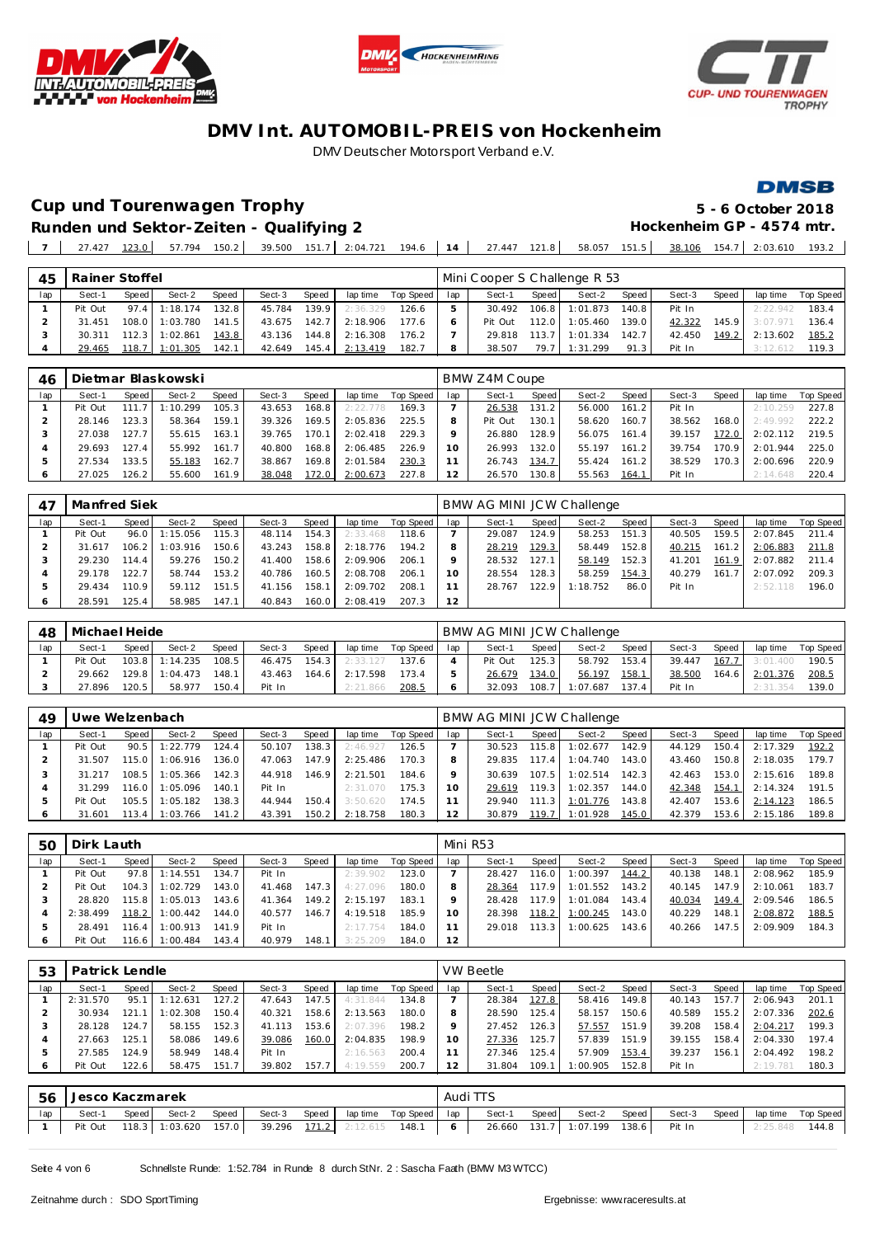





**DMSB** 

**Cup und Tourenwagen Trophy 5 - 6 October 2018**

**Runden und Sektor-Zeiten - Qualifying 2** 

|  |  | 5 - 6 UCTODER 2018                       |  |
|--|--|------------------------------------------|--|
|  |  | Hockenheim GP - 4574 mtr.                |  |
|  |  | 58.057 151.5 38.106 154.7 2:03.610 193.2 |  |

| 45  | Rainer Stoffel |         |          |       |        |                    |          |           |     | Mini Cooper S Challenge R 53 |       |          |       |        |       |          |           |
|-----|----------------|---------|----------|-------|--------|--------------------|----------|-----------|-----|------------------------------|-------|----------|-------|--------|-------|----------|-----------|
| lap | Sect-′         | Speed   | Sect-2   | Speed | Sect-3 | Speed              | lap time | Top Speed | lap | Sect-1                       | Speed | Sect-2   | Speed | Sect-3 | Speed | lap time | Top Speed |
|     | Pit Out        | 97.4    | 1:18.174 | 132.8 | 45.784 | 139.9 <sub>1</sub> | 2:36.329 | 126.6     |     | 30.492                       | 106.8 | 1:01.873 | 140.8 | Pit In |       | 2:22.942 | 183.4     |
|     | 31.451         | 108.0   | 1:03.780 | 141.5 | 43.675 | 142.7              | 2:18.906 | 1776      |     | Pit Out                      | 112.0 | 1:05.460 | 139.0 | 42.322 | 145.9 | 3:07.971 | 136.4     |
|     | 30.311         | 112.3   | 1:02.861 | 143.8 | 43.136 | 144.8              | 2:16.308 | 176.2     |     | 29.818                       | 113.7 | 1:01.334 | 142.7 | 42.450 | 149.2 | 2:13.602 | 185.2     |
|     | 29.465         | 118.7 I | 1:01.305 | 142.1 | 42.649 | 145.4              | 2:13.419 | 182.7     | 8   | 38.507                       | 79.7  | 1:31.299 | 91.3  | Pit In |       | 3:12.612 | 119.3     |
|     |                |         |          |       |        |                    |          |           |     |                              |       |          |       |        |       |          |           |

| 46  |         |       | Dietmar Blaskowski |       |        |       |          |           |     | BMW Z4M Coupe |       |        |                    |        |       |          |                  |
|-----|---------|-------|--------------------|-------|--------|-------|----------|-----------|-----|---------------|-------|--------|--------------------|--------|-------|----------|------------------|
| lap | Sect-1  | Speed | Sect-2             | Speed | Sect-3 | Speed | lap time | Top Speed | lap | Sect-1        | Speed | Sect-2 | Speed              | Sect-3 | Speed | lap time | <b>Top Speed</b> |
|     | Pit Out | 111   | :10.299            | 105.3 | 43.653 | 168.8 | 2:22.778 | 169.3     |     | 26.538        | 131.2 | 56.000 | 161.2              | Pit In |       | 2:10.259 | 227.8            |
|     | 28.146  | 123.3 | 58.364             | 159.1 | 39.326 | 169.5 | 2:05.836 | 225.5     | 8   | Pit Out       | 130.1 | 58.620 | 160.7 <sub>1</sub> | 38.562 | 168.0 | 2:49.992 | 222.2            |
|     | 27.038  | 127.7 | 55.615             | 163.1 | 39.765 | 170.1 | 2:02.418 | 229.3     |     | 26.880        | 128.9 | 56.075 | 161.41             | 39.157 | 172.0 | 2:02.112 | 219.5            |
|     | 29.693  | 127.4 | 55.992             | 161.7 | 40.800 | 168.8 | 2:06.485 | 226.9     |     | 26.993        | 132.0 | 55.197 | 161.2              | 39.754 | 170.9 | 2:01.944 | 225.0            |
| Þ   | 27.534  | 133.5 | 55.183             | 162.7 | 38.867 | 169.8 | 2:01.584 | 230.3     |     | 26.743        | 134.7 | 55.424 | 161.2              | 38.529 | 170.3 | 2:00.696 | 220.9            |
|     | 27.025  | 126.2 | 55.600             | 161.9 | 38.048 | 172.0 | 2:00.673 | 227.8     | 12  | 26.570        | 130.8 | 55.563 | 164.1              | Pit In |       | 2:14.648 | 220.4            |

| 47      | Manfred Siek |       |          |                    |        |       |          |           |     | BMW AG MINI JCW Challenge |       |          |       |        |       |          |           |
|---------|--------------|-------|----------|--------------------|--------|-------|----------|-----------|-----|---------------------------|-------|----------|-------|--------|-------|----------|-----------|
| lap     | Sect-1       | Speed | Sect-2   | Speed              | Sect-3 | Speed | lap time | Top Speed | lap | Sect-1                    | Speed | Sect-2   | Speed | Sect-3 | Speed | lap time | Top Speed |
|         | Pit Out      | 96.0  | 1:15.056 | 115.3 <sub>1</sub> | 48.114 | 154.3 | 2:33.468 | 118.6     |     | 29.087                    | 124.9 | 58.253   | 151.3 | 40.505 | 159.5 | 2:07.845 | 211.4     |
|         | 31.617       | 106.2 | : 03.916 | 150.6              | 43.243 | 158.8 | 2:18.776 | 194.2     |     | 28.219                    | 129.3 | 58.449   | 152.8 | 40.215 | 161.2 | 2:06.883 | 211.8     |
|         | 29.230       | 114.4 | 59.276   | 150.2              | 41.400 | 158.6 | 2:09.906 | 206.1     |     | 28.532                    | 127.1 | 58.149   | 152.3 | 41.201 | 161.9 | 2:07.882 | 211.4     |
|         | 29.178       | 122.7 | 58.744   | 153.2              | 40.786 | 160.5 | 2:08.708 | 206.1     | 10  | 28.554                    | 128.3 | 58.259   | 154.3 | 40.279 | 161.7 | 2:07.092 | 209.3     |
| -5      | 29.434       | 110.9 | 59.112   | 151.5              | 41.156 | 158.1 | 2:09.702 | 208.1     |     | 28.767                    | 122.9 | 1:18.752 | 86.0  | Pit In |       | 2:52.118 | 196.0     |
| $\circ$ | 28.591       | 125.4 | 58.985   | 147.1              | 40.843 | 160.0 | 2:08.419 | 207.3     | 12  |                           |       |          |       |        |       |          |           |

| 48  | Michael Heide |       |                  |       |        |       |          |           |     |         |       | BMW AG MINI JCW Challenge |       |        |       |                  |           |
|-----|---------------|-------|------------------|-------|--------|-------|----------|-----------|-----|---------|-------|---------------------------|-------|--------|-------|------------------|-----------|
| lap | Sect-1        | Speed | Sect-2           | Speed | Sect-3 | Speed | lap time | Top Speed | lap | Sect-1  | Speed | Sect-2                    | Speed | Sect-3 | Speed | lap time         | Top Speed |
|     | Pit Out       |       | $103.8$ 1:14.235 | 108.5 | 46.475 | 154.3 | 2:33.127 | 137.6     |     | Pit Out | 125.3 | 58.792                    | 153.4 | 39.447 |       | $167.7$ 3:01.400 | 190.5     |
|     | 29.662        |       | $129.8$ 1:04.473 | 148.1 | 43.463 | 164.6 | 2:17.598 | 173.4     |     | 26.679  | 134.0 | 56.197                    | 158.1 | 38.500 |       | 164.6 2:01.376   | 208.5     |
|     | 27.896        | 120.5 | 58.977           | 150.4 | Pit In |       | 2:21.866 | 208.5     |     | 32.093  | 108.7 | 1:07.687                  | 137.4 | Pit In |       | 2:31.354         | 139.0     |

| 49  | Jwe Welzenbach |         |          |       |        |       |          |           |          | BMW AG MINI JCW Challenge |                    |          |       |        |       |          |           |
|-----|----------------|---------|----------|-------|--------|-------|----------|-----------|----------|---------------------------|--------------------|----------|-------|--------|-------|----------|-----------|
| lap | Sect-1         | Speed   | Sect-2   | Speed | Sect-3 | Speed | lap time | Top Speed | lap      | Sect-1                    | Speed              | Sect-2   | Speed | Sect-3 | Speed | lap time | Top Speed |
|     | Pit Out        | 90.5    | 1:22.779 | 124.4 | 50.107 | 138.3 | 2:46.927 | 126.5     |          | 30.523                    | 115.8              | 1:02.677 | 142.9 | 44.129 | 150.4 | 2:17.329 | 192.2     |
|     | 31.507         | 115.0   | 1:06.916 | 136.0 | 47.063 | 147.9 | 2:25.486 | 170.3     |          | 29.835                    | 117.4              | 1:04.740 | 143.0 | 43.460 | 150.8 | 2:18.035 | 179.7     |
|     | 31.217         | 108.5   | 1:05.366 | 142.3 | 44.918 | 146.9 | 2:21.501 | 184.6     |          | 30.639                    | 107.5              | 1:02.514 | 142.3 | 42.463 | 153.0 | 2:15.616 | 189.8     |
|     | 31.299         | 116.0   | 1:05.096 | 140.1 | Pit In |       | 2:31.070 | 175.3     | $10^{-}$ | 29.619                    | 119.3              | 1:02.357 | 144.0 | 42.348 | 154.1 | 2:14.324 | 191.5     |
|     | Pit Out        | 105.5   | 1:05.182 | 138.3 | 44.944 | 150.4 | 3:50.620 | 174.5     |          | 29.940                    | 111.3              | 1:01.776 | 143.8 | 42.407 | 153.6 | 2:14.123 | 186.5     |
|     | 31.601         | 113.4 I | 1:03.766 | 141.2 | 43.391 | 150.2 | 2:18.758 | 180.3     | 12       | 30.879                    | 119.7 <sup>1</sup> | 1:01.928 | 145.0 | 42.379 | 153.6 | 2:15.186 | 189.8     |

| 50  | Dirk Lauth |       |          |       |        |       |          |           |     | Mini R53 |       |          |       |        |       |          |           |
|-----|------------|-------|----------|-------|--------|-------|----------|-----------|-----|----------|-------|----------|-------|--------|-------|----------|-----------|
| lap | Sect-1     | Speed | Sect-2   | Speed | Sect-3 | Speed | lap time | Top Speed | lap | Sect-1   | Speed | Sect-2   | Speed | Sect-3 | Speed | lap time | Top Speed |
|     | Pit Out    | 97.8  | 1:14.551 | 134.7 | Pit In |       | 2:39.902 | 123.0     |     | 28.427   | 116.0 | 1:00.397 | 144.2 | 40.138 | 148.1 | 2:08.962 | 185.9     |
|     | Pit Out    | 104.3 | 1:02.729 | 143.0 | 41.468 | 147.3 | 4:27.096 | 180.0     |     | 28.364   | 117.9 | 1:01.552 | 143.2 | 40.145 | 147.9 | 2:10.061 | 183.7     |
|     | 28.820     | 115.8 | 1:05.013 | 143.6 | 41.364 | 149.2 | 2:15.197 | 183.1     |     | 28.428   | 117.9 | 1:01.084 | 143.4 | 40.034 | 149.4 | 2:09.546 | 186.5     |
|     | 2:38.499   | 118.2 | 1:00.442 | 144.0 | 40.577 | 146.7 | 4:19.518 | 185.9     |     | 28.398   | 118.2 | 1:00.245 | 143.0 | 40.229 | 148.1 | 2:08.872 | 188.5     |
|     | 28.491     | 116.4 | : 00.913 | 141.9 | Pit In |       | 2:17.754 | 184.0     |     | 29.018   | 113.3 | 1:00.625 | 143.6 | 40.266 | 147.5 | 2:09.909 | 184.3     |
| 6   | Pit Out    | 116.6 | 1:00.484 | 143.4 | 40.979 | 148.1 | 3:25.209 | 184.0     | 12  |          |       |          |       |        |       |          |           |

| 53  | Patrick Lendle |       |          |       |        |       |          |           |     | <b>VW Beetle</b> |        |          |       |        |       |          |           |
|-----|----------------|-------|----------|-------|--------|-------|----------|-----------|-----|------------------|--------|----------|-------|--------|-------|----------|-----------|
| lap | Sect-1         | Speed | Sect-2   | Speed | Sect-3 | Speed | lap time | Top Speed | lap | Sect-1           | Speed  | Sect-2   | Speed | Sect-3 | Speed | lap time | Top Speed |
|     | 2:31.570       | 95.1  | 1:12.631 | 127.2 | 47.643 | 147.5 | 4:31.844 | 134.8     |     | 28.384           | 127.8  | 58.416   | 149.8 | 40.143 | 157.7 | 2:06.943 | 201.      |
|     | 30.934         | 121.  | 1:02.308 | 150.4 | 40.321 | 158.6 | 2:13.563 | 180.0     |     | 28.590           | 125.4  | 58.157   | 150.6 | 40.589 | 155.2 | 2:07.336 | 202.6     |
|     | 28.128         | 124.7 | 58.155   | 152.3 | 41.113 | 153.6 | 2:07.396 | 198.2     |     | 27.452           | 126.3  | 57.557   | 151.9 | 39.208 | 158.4 | 2:04.217 | 199.3     |
|     | 27.663         | 125.1 | 58.086   | 149.6 | 39.086 | 160.0 | 2:04.835 | 198.9     | 10  | 27.336           | 125.7. | 57.839   | 151.9 | 39.155 | 158.4 | 2:04.330 | 197.4     |
|     | 27.585         | 124.9 | 58.949   | 148.4 | Pit In |       | 2:16.563 | 200.4     |     | 27.346           | 125.4  | 57.909   | 153.4 | 39.237 | 156.7 | 2:04.492 | 198.2     |
|     | Pit Out        | 122.6 | 58.475   | 151.7 | 39.802 | 157   | 4:19.559 | 200.7     |     | 31.804           | 109.1  | 1:00.905 | 152.8 | Pit In |       | 2:19.781 | 180.3     |
|     |                |       |          |       |        |       |          |           |     |                  |        |          |       |        |       |          |           |

| -56 | Jesco Kaczmarek |       |                                                                  |       |        |  |                                   | Audi TTS |              |                                    |        |       |                    |  |
|-----|-----------------|-------|------------------------------------------------------------------|-------|--------|--|-----------------------------------|----------|--------------|------------------------------------|--------|-------|--------------------|--|
| lap | Sect-1          | Speed | Sect-2                                                           | Speed | Sect-3 |  | Speed   lap time  Top Speed   lap |          | Sect-1 Speed | Sect-2 Speed                       | Sect-3 | Speed | lap time Top Speed |  |
|     |                 |       | Pit Out 118.3   1:03.620 157.0   39.296 171.2 2:12.615 148.1   6 |       |        |  |                                   |          |              | 26.660 131.7 1:07.199 138.6 Pit In |        |       | 2:25.848 144.8     |  |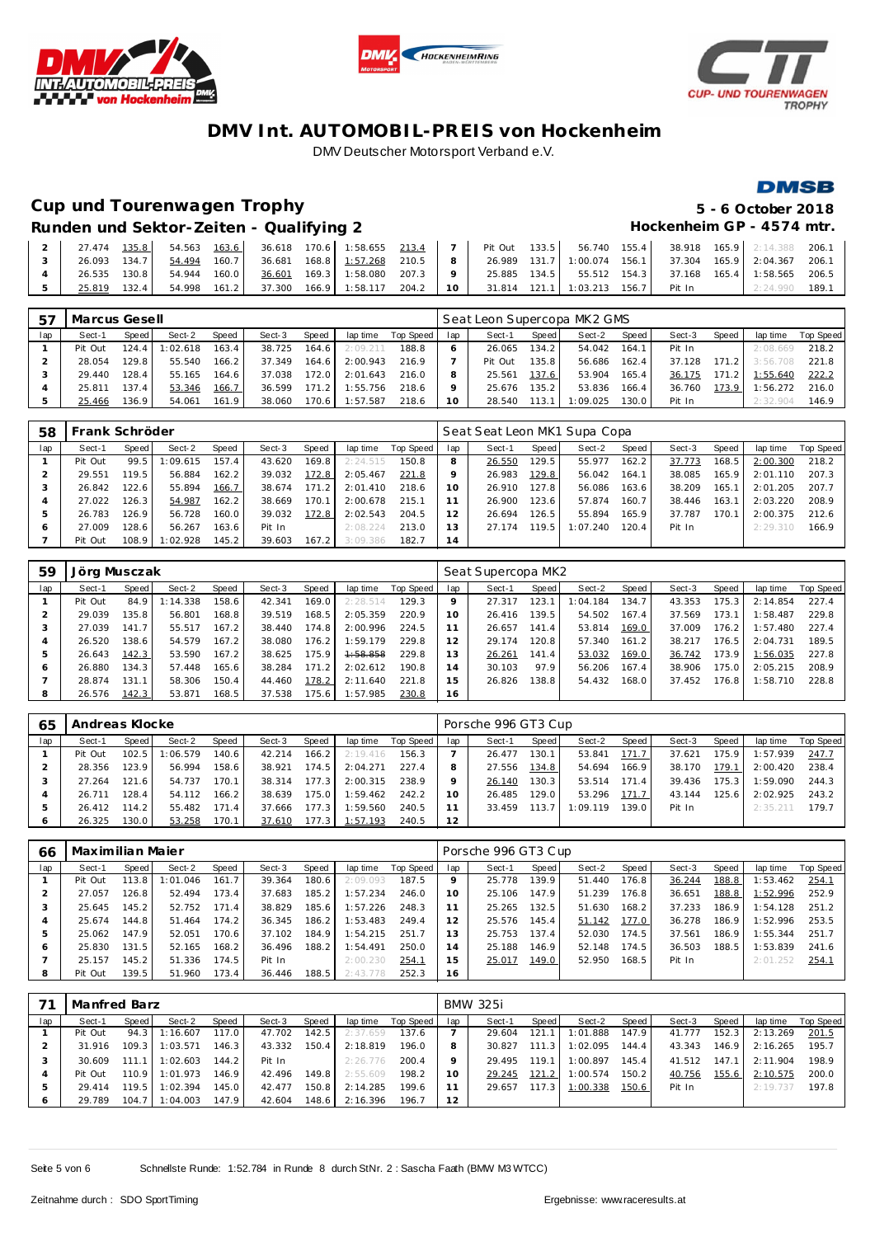





#### **DMSB**

# **Cup und Tourenwagen Trophy 5 - 6 October 2018**

**Runden und Sektor-Zeiten - Qualifying 2 Hockenheim GP - 4574 mtr.**

|  | 27.474 | 135.8 | 54.563 | 163.6   |              |       | 36.618 170.6 1:58.655 | 213.4 |          | Pit Out | 133.5 | 56.740 155.4         |       | 38.918 | 165.9 2:14.388 206.  |      |
|--|--------|-------|--------|---------|--------------|-------|-----------------------|-------|----------|---------|-------|----------------------|-------|--------|----------------------|------|
|  | 26.093 | 134.7 | 54.494 | $160.7$ | 36.681       |       | 168.8 1:57.268        | 210.5 |          | 26.989  |       | 131.7 1:00.074 156.1 |       |        |                      |      |
|  | 26.535 | 130.8 | 54.944 | 160.0   | 36.601       |       | 169.3 1:58.080        | 207.3 |          | 25.885  | 134.5 | 55.512 154.3         |       | 37.168 | 165.4 1:58.565 206.5 |      |
|  | 25.819 | 132.4 | 54.998 |         | 161.2 37.300 | 166.9 | 1:58.117              | 204.2 | $10^{-}$ | 31.814  | 121.1 | 1:03.213             | 156.7 | Pit In |                      | 189. |

| 57  | Marcus Gesell |         |          |                    |        |       |          |           |     |         |        | Seat Leon Supercopa MK2 GMS |       |        |       |          |           |
|-----|---------------|---------|----------|--------------------|--------|-------|----------|-----------|-----|---------|--------|-----------------------------|-------|--------|-------|----------|-----------|
| lap | Sect-1        | Speed   | Sect-2   | Speed              | Sect-3 | Speed | lap time | Top Speed | lap | Sect-1  | Speed  | Sect-2                      | Speed | Sect-3 | Speed | lap time | Top Speed |
|     | Pit Out       | 124.4   | 1:02.618 | 163.4              | 38.725 | 164.6 | 2:09.211 | 188.8     |     | 26.065  | 134.2  | 54.042                      | 164.1 | Pit In |       | 2:08.669 | 218.2     |
|     | 28.054        | 129.8   | 55.540   | 166.2 <sub>1</sub> | 37.349 | 164.6 | 2:00.943 | 216.9     |     | Pit Out | 135.81 | 56.686                      | 162.4 | 37.128 | 171.2 | 3:56.708 | 221.8     |
|     | 29.440        | 128.4   | 55.165   | 164.6              | 37.038 | 172.0 | 2:01.643 | 216.0     |     | 25.561  | 137.6  | 53.904                      | 165.4 | 36.175 | 171.2 | 1:55.640 | 222.2     |
|     | 25.811        | 137.4   | 53.346   | 166.7              | 36.599 | 171.2 | 1:55.756 | 218.6     |     | 25.676  | 135.2  | 53.836                      | 166.4 | 36.760 | 173.9 | 1:56.272 | 216.0     |
|     | 25.466        | 136.9 I | 54.061   | 161.9              | 38.060 | 170.6 | 1:57.587 | 218.6     | 10  | 28.540  | 113.1  | 1:09.025                    | 130.0 | Pit In |       | 2:32.904 | 146.9     |

| 58  | Frank Schröder |       |          |       |        |       |          |           |     | Seat Seat Leon MK1 Supa Copa |       |          |       |        |       |          |           |
|-----|----------------|-------|----------|-------|--------|-------|----------|-----------|-----|------------------------------|-------|----------|-------|--------|-------|----------|-----------|
| lap | Sect-1         | Speed | Sect-2   | Speed | Sect-3 | Speed | lap time | Top Speed | lap | Sect-1                       | Speed | Sect-2   | Speed | Sect-3 | Speed | lap time | Top Speed |
|     | Pit Out        | 99.5  | 1:09.615 | 157.4 | 43.620 | 169.8 | 2:24.515 | 150.8     | 8   | 26.550                       | 129.5 | 55.977   | 162.2 | 37.773 | 168.5 | 2:00.300 | 218.2     |
|     | 29.551         | 119.5 | 56.884   | 162.2 | 39.032 | 172.8 | 2:05.467 | 221.8     |     | 26.983                       | 129.8 | 56.042   | 164.1 | 38.085 | 165.9 | 2:01.110 | 207.3     |
|     | 26.842         | 122.6 | 55.894   | 166.7 | 38.674 | 171.2 | 2:01.410 | 218.6     | 10  | 26.910                       | 127.8 | 56.086   | 163.6 | 38.209 | 165.1 | 2:01.205 | 207.7     |
|     | 27.022         | 126.3 | 54.987   | 162.2 | 38.669 | 170.1 | 2:00.678 | 215.1     |     | 26.900                       | 123.6 | 57.874   | 160.7 | 38.446 | 163.1 | 2:03.220 | 208.9     |
|     | 26.783         | 126.9 | 56.728   | 160.0 | 39.032 | 172.8 | 2:02.543 | 204.5     | 12  | 26.694                       | 126.5 | 55.894   | 165.9 | 37.787 | 170.1 | 2:00.375 | 212.6     |
|     | 27.009         | 128.6 | 56.267   | 163.6 | Pit In |       | 2:08.224 | 213.0     | 3   | 27.174                       | 119.5 | 1:07.240 | 120.4 | Pit In |       | 2:29.310 | 166.9     |
|     | Pit Out        | 108.9 | 1:02.928 | 145.2 | 39.603 | 167.2 | 3:09.386 | 182.7     | 14  |                              |       |          |       |        |       |          |           |

| 59  | Jörg Musczak |       |          |       |        |       |          |           |     | Seat Supercopa MK2 |       |          |       |        |       |          |           |
|-----|--------------|-------|----------|-------|--------|-------|----------|-----------|-----|--------------------|-------|----------|-------|--------|-------|----------|-----------|
| lap | Sect-1       | Speed | Sect-2   | Speed | Sect-3 | Speed | lap time | Top Speed | lap | Sect-1             | Speed | Sect-2   | Speed | Sect-3 | Speed | lap time | Top Speed |
|     | Pit Out      | 84.9  | 1:14.338 | 158.6 | 42.341 | 169.0 | 2:28.514 | 129.3     |     | 27.317             | 123.1 | 1:04.184 | 134.7 | 43.353 | 175.3 | 2:14.854 | 227.4     |
|     | 29.039       | 135.8 | 56.801   | 168.8 | 39.519 | 168.5 | 2:05.359 | 220.9     | 10  | 26.416             | 139.5 | 54.502   | 167.4 | 37.569 | 173.1 | 1:58.487 | 229.8     |
| З   | 27.039       | 141.7 | 55.517   | 167.2 | 38.440 | 174.8 | 2:00.996 | 224.5     |     | 26.657             | 141.4 | 53.814   | 169.0 | 37.009 | 176.2 | 1:57.480 | 227.4     |
| 4   | 26.520       | 138.6 | 54.579   | 167.2 | 38.080 | 176.2 | 1:59.179 | 229.8     | 12  | 29.174             | 120.8 | 57.340   | 161.2 | 38.217 | 176.5 | 2:04.731 | 189.5     |
| ь   | 26.643       | 142.3 | 53.590   | 167.2 | 38.625 | 175.9 | 1:58.858 | 229.8     | 13  | 26.261             | 141.4 | 53.032   | 169.0 | 36.742 | 173.9 | 1:56.035 | 227.8     |
| 6   | 26.880       | 134.3 | 57.448   | 165.6 | 38.284 | 171.2 | 2:02.612 | 190.8     | 14  | 30.103             | 97.9  | 56.206   | 167.4 | 38.906 | 175.0 | 2:05.215 | 208.9     |
|     | 28.874       | 131.1 | 58.306   | 150.4 | 44.460 | 178.2 | 2:11.640 | 221.8     | 15  | 26.826             | 138.8 | 54.432   | 168.0 | 37.452 | 176.8 | 1:58.710 | 228.8     |
| 8   | 26.576       | 142.3 | 53.871   | 168.5 | 37.538 | 175.6 | 1:57.985 | 230.8     | 16  |                    |       |          |       |        |       |          |           |

| 65  | Andreas Klocke |       |          |       |        |         |          |           | Porsche 996 GT3 Cup |        |       |          |        |        |       |          |           |  |
|-----|----------------|-------|----------|-------|--------|---------|----------|-----------|---------------------|--------|-------|----------|--------|--------|-------|----------|-----------|--|
| lap | Sect-1         | Speed | Sect-2   | Speed | Sect-3 | Speed   | lap time | Top Speed | lap                 | Sect-1 | Speed | Sect-2   | Speed  | Sect-3 | Speed | lap time | Top Speed |  |
|     | Pit Out        | 102.5 | : 06.579 | 140.6 | 42.214 | 166.2   | 2:19.416 | 156.3     |                     | 26.477 | 130.1 | 53.841   | 171.7  | 37.621 | 175.9 | 1:57.939 | 247.7     |  |
|     | 28.356         | 123.9 | 56.994   | 158.6 | 38.921 | 174.5   | 2:04.271 | 227.4     |                     | 27.556 | 134.8 | 54.694   | 166.9  | 38.170 | 179.1 | 2:00.420 | 238.4     |  |
|     | 27.264         | 121.6 | 54.737   | 170.1 | 38.314 | 177.3   | 2:00.315 | 238.9     | Q                   | 26.140 | 130.3 | 53.514   | 171.4  | 39.436 | 175.3 | 1:59.090 | 244.3     |  |
|     | 26.711         | 128.4 | 54.112   | 166.2 | 38.639 | $175.0$ | 1:59.462 | 242.2     | 10                  | 26.485 | 129.0 | 53.296   | 171.7  | 43.144 | 125.6 | 2:02.925 | 243.2     |  |
|     | 26.412         | 114.2 | 55.482   | 171.4 | 37.666 | 177.3   | 1:59.560 | 240.5     |                     | 33.459 | 113.7 | 1:09.119 | 139.01 | Pit In |       | 2:35.211 | 179.7     |  |
|     | 26.325         | 130.0 | 53.258   | 170.1 | 37.610 | 177.3   | 1:57.193 | 240.5     | 12                  |        |       |          |        |        |       |          |           |  |

| 66  | Maximilian Maier |         |          |       |        |       |          |           |                | Porsche 996 GT3 Cup |       |        |       |        |       |          |           |  |  |
|-----|------------------|---------|----------|-------|--------|-------|----------|-----------|----------------|---------------------|-------|--------|-------|--------|-------|----------|-----------|--|--|
| lap | Sect-1           | Speed I | Sect-2   | Speed | Sect-3 | Speed | lap time | Top Speed | lap            | Sect-1              | Speed | Sect-2 | Speed | Sect-3 | Speed | lap time | Top Speed |  |  |
|     | Pit Out          | 113.8   | 1:01.046 | 161.7 | 39.364 | 180.6 | 2:09.093 | 187.5     |                | 25.778              | 139.9 | 51.440 | 176.8 | 36.244 | 188.8 | 1:53.462 | 254.1     |  |  |
|     | 27.057           | 126.8   | 52.494   | 173.4 | 37.683 | 185.2 | 1:57.234 | 246.0     | 10             | 25.106              | 147.9 | 51.239 | 176.8 | 36.651 | 188.8 | 1:52.996 | 252.9     |  |  |
|     | 25.645           | 145.2   | 52.752   | 171.4 | 38.829 | 185.6 | 1:57.226 | 248.3     |                | 25.265              | 132.5 | 51.630 | 168.2 | 37.233 | 186.9 | 1:54.128 | 251.2     |  |  |
| 4   | 25.674           | 144.8 I | 51.464   | 174.2 | 36.345 | 186.2 | 1:53.483 | 249.4     |                | 25.576              | 145.4 | 51.142 | 177.0 | 36.278 | 186.9 | 1:52.996 | 253.5     |  |  |
|     | 25.062           | 147.9   | 52.051   | 170.6 | 37.102 | 184.9 | 1:54.215 | 251.7     | 3              | 25.753              | 137.4 | 52.030 | 174.5 | 37.561 | 186.9 | 1:55.344 | 251.7     |  |  |
| 6   | 25.830           | 131.5   | 52.165   | 168.2 | 36.496 | 188.2 | 1:54.491 | 250.0     | $\overline{A}$ | 25.188              | 146.9 | 52.148 | 174.5 | 36.503 | 188.5 | 1:53.839 | 241.6     |  |  |
|     | 25.157           | 145.2   | 51.336   | 174.5 | Pit In |       | 2:00.230 | 254.1     | 5              | 25.017              | 149.0 | 52.950 | 168.5 | Pit In |       | 2:01.252 | 254.1     |  |  |
| 8   | Pit Out          | 139.5   | 51.960   | 173.4 | 36.446 | 188.5 | 2:43.778 | 252.3     | 16             |                     |       |        |       |        |       |          |           |  |  |

|         | Manfred Barz |       |          |       |        |       |          |           |     | <b>BMW 325i</b> |       |          |       |        |       |          |           |  |  |  |
|---------|--------------|-------|----------|-------|--------|-------|----------|-----------|-----|-----------------|-------|----------|-------|--------|-------|----------|-----------|--|--|--|
| lap     | Sect-1       | Speed | Sect-2   | Speed | Sect-3 | Speed | lap time | Top Speed | lap | Sect-1          | Speed | Sect-2   | Speed | Sect-3 | Speed | lap time | Top Speed |  |  |  |
|         | Pit Out      | 94.3  | 1:16.607 | 117.0 | 47.702 | 142.5 | 2:37.659 | 137.6     |     | 29.604          | 121.1 | 1:01.888 | 147.9 | 41.777 | 152.3 | 2:13.269 | 201.5     |  |  |  |
|         | 31.916       | 109.3 | 1:03.571 | 146.3 | 43.332 | 150.4 | 2:18.819 | 196.0     |     | 30.827          | 111.3 | 1:02.095 | 144.4 | 43.343 | 146.9 | 2:16.265 | 195.7     |  |  |  |
|         | 30.609       | 111.1 | 1:02.603 | 144.2 | Pit In |       | 2:26.776 | 200.4     |     | 29.495          | 119.1 | 1:00.897 | 145.4 | 41.512 | 147.1 | 2:11.904 | 198.9     |  |  |  |
|         | Pit Out      | 110.9 | 1:01.973 | 146.9 | 42.496 | 149.8 | 2:55.609 | 198.2     |     | 29.245          | 121.2 | 1:00.574 | 150.2 | 40.756 | 155.6 | 2:10.575 | 200.0     |  |  |  |
| 5       | 29.414       | 119.5 | 1:02.394 | 145.0 | 42.477 | 150.8 | 2:14.285 | 199.6     |     | 29.657          | 117.3 | 1:00.338 | 150.6 | Pit In |       | 2:19.737 | 197.8     |  |  |  |
| $\circ$ | 29.789       | 104.7 | 1:04.003 | 147.9 | 42.604 | 148.6 | 2:16.396 | 196.7     | 12  |                 |       |          |       |        |       |          |           |  |  |  |